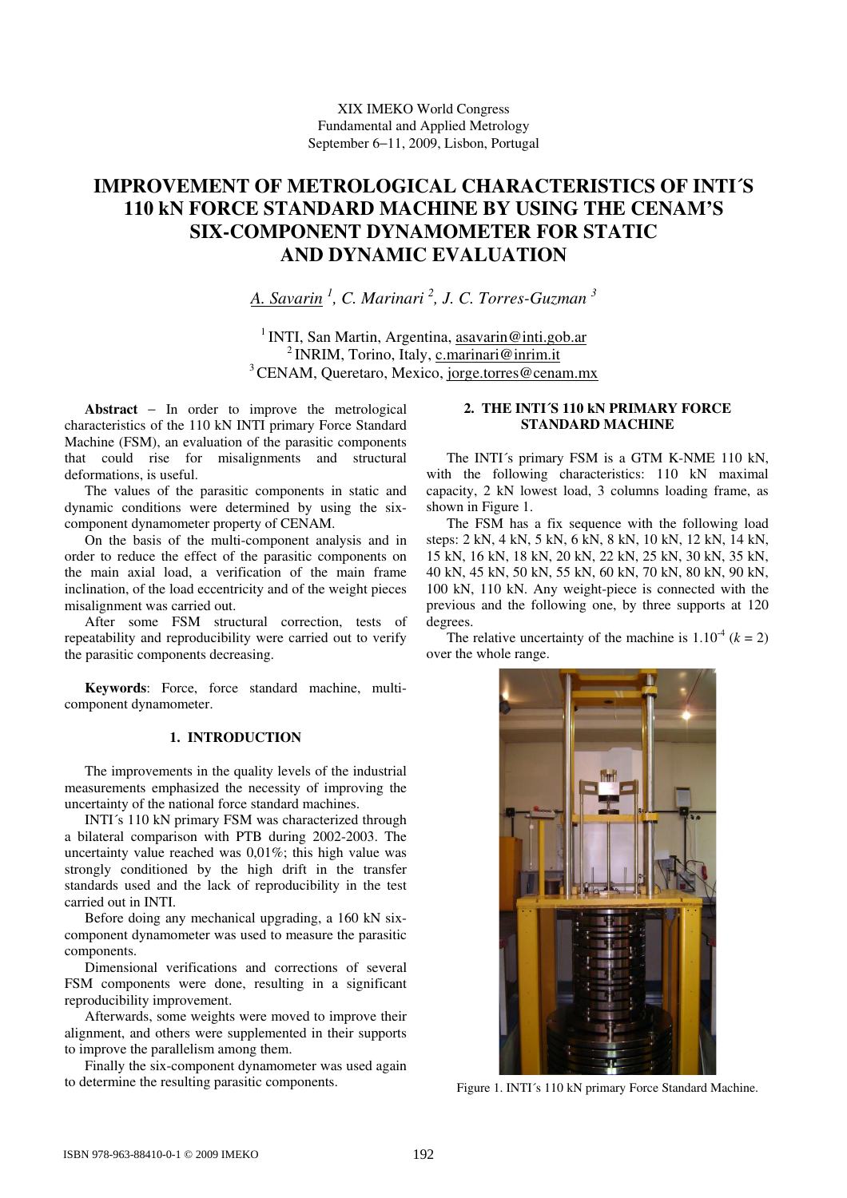# **IMPROVEMENT OF METROLOGICAL CHARACTERISTICS OF INTI´S 110 kN FORCE STANDARD MACHINE BY USING THE CENAM'S SIX-COMPONENT DYNAMOMETER FOR STATIC AND DYNAMIC EVALUATION**

*A. Savarin 1 , C. Marinari 2 , J. C. Torres-Guzman 3*

<sup>1</sup> INTI, San Martin, Argentina, asavarin@inti.gob.ar <sup>2</sup> INRIM, Torino, Italy, c.marinari@inrim.it <sup>3</sup> CENAM, Queretaro, Mexico, jorge.torres@cenam.mx

**Abstract** − In order to improve the metrological characteristics of the 110 kN INTI primary Force Standard Machine (FSM), an evaluation of the parasitic components that could rise for misalignments and structural deformations, is useful.

The values of the parasitic components in static and dynamic conditions were determined by using the sixcomponent dynamometer property of CENAM.

On the basis of the multi-component analysis and in order to reduce the effect of the parasitic components on the main axial load, a verification of the main frame inclination, of the load eccentricity and of the weight pieces misalignment was carried out.

After some FSM structural correction, tests of repeatability and reproducibility were carried out to verify the parasitic components decreasing.

**Keywords**: Force, force standard machine, multicomponent dynamometer.

# **1. INTRODUCTION**

The improvements in the quality levels of the industrial measurements emphasized the necessity of improving the uncertainty of the national force standard machines.

INTI´s 110 kN primary FSM was characterized through a bilateral comparison with PTB during 2002-2003. The uncertainty value reached was 0,01%; this high value was strongly conditioned by the high drift in the transfer standards used and the lack of reproducibility in the test carried out in INTI.

Before doing any mechanical upgrading, a 160 kN sixcomponent dynamometer was used to measure the parasitic components.

Dimensional verifications and corrections of several FSM components were done, resulting in a significant reproducibility improvement.

Afterwards, some weights were moved to improve their alignment, and others were supplemented in their supports to improve the parallelism among them.

Finally the six-component dynamometer was used again to determine the resulting parasitic components.

# **2. THE INTI´S 110 kN PRIMARY FORCE STANDARD MACHINE**

The INTI´s primary FSM is a GTM K-NME 110 kN, with the following characteristics: 110 kN maximal capacity, 2 kN lowest load, 3 columns loading frame, as shown in Figure 1.

The FSM has a fix sequence with the following load steps: 2 kN, 4 kN, 5 kN, 6 kN, 8 kN, 10 kN, 12 kN, 14 kN, 15 kN, 16 kN, 18 kN, 20 kN, 22 kN, 25 kN, 30 kN, 35 kN, 40 kN, 45 kN, 50 kN, 55 kN, 60 kN, 70 kN, 80 kN, 90 kN, 100 kN, 110 kN. Any weight-piece is connected with the previous and the following one, by three supports at 120 degrees.

The relative uncertainty of the machine is  $1.10^{-4}$  ( $k = 2$ ) over the whole range.



Figure 1. INTI´s 110 kN primary Force Standard Machine.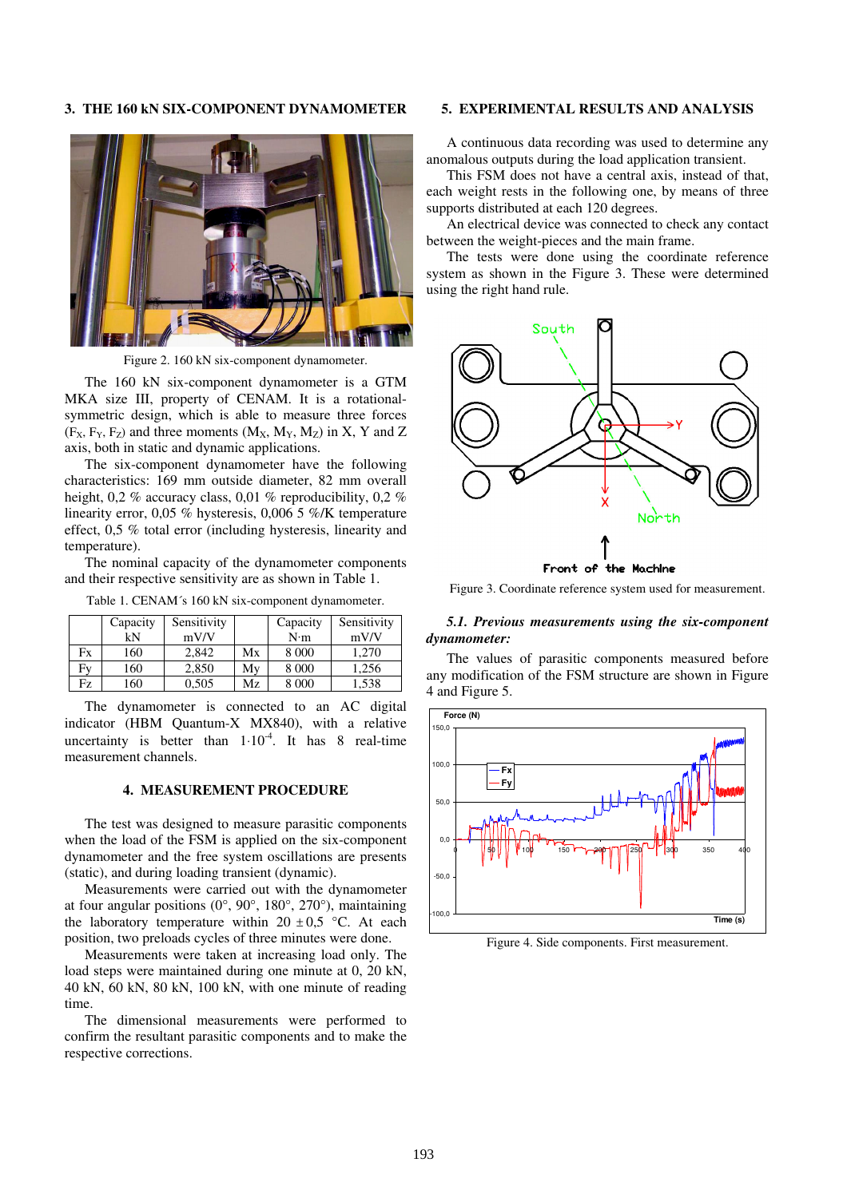### **3. THE 160 kN SIX-COMPONENT DYNAMOMETER**



Figure 2. 160 kN six-component dynamometer.

The 160 kN six-component dynamometer is a GTM MKA size III, property of CENAM. It is a rotationalsymmetric design, which is able to measure three forces  $(F_X, F_Y, F_Z)$  and three moments  $(M_X, M_Y, M_Z)$  in X, Y and Z axis, both in static and dynamic applications.

The six-component dynamometer have the following characteristics: 169 mm outside diameter, 82 mm overall height, 0,2 % accuracy class, 0,01 % reproducibility, 0,2 % linearity error, 0,05 % hysteresis, 0,006 5 %/K temperature effect, 0,5 % total error (including hysteresis, linearity and temperature).

The nominal capacity of the dynamometer components and their respective sensitivity are as shown in Table 1.

Table 1. CENAM´s 160 kN six-component dynamometer.

|    | Capacity<br>kN | Sensitivity<br>mV/V |    | Capacity<br>N·m | Sensitivity<br>mV/V |
|----|----------------|---------------------|----|-----------------|---------------------|
| Fx | 160            | 2,842               | Mx | 8 0 0 0         | 1.270               |
| Fv | 160            | 2.850               | Mv | 8 0 0 0         | 1.256               |
| Fz | 160            | 0,505               | Mz | 8 0 0 0         | 1,538               |

The dynamometer is connected to an AC digital indicator (HBM Quantum-X MX840), with a relative uncertainty is better than  $1 \cdot 10^{-4}$ . It has 8 real-time measurement channels.

# **4. MEASUREMENT PROCEDURE**

The test was designed to measure parasitic components when the load of the FSM is applied on the six-component dynamometer and the free system oscillations are presents (static), and during loading transient (dynamic).

Measurements were carried out with the dynamometer at four angular positions (0°, 90°, 180°, 270°), maintaining the laboratory temperature within 20  $\pm$  0,5 °C. At each position, two preloads cycles of three minutes were done.

Measurements were taken at increasing load only. The load steps were maintained during one minute at 0, 20 kN, 40 kN, 60 kN, 80 kN, 100 kN, with one minute of reading time.

The dimensional measurements were performed to confirm the resultant parasitic components and to make the respective corrections.

## **5. EXPERIMENTAL RESULTS AND ANALYSIS**

A continuous data recording was used to determine any anomalous outputs during the load application transient.

This FSM does not have a central axis, instead of that, each weight rests in the following one, by means of three supports distributed at each 120 degrees.

An electrical device was connected to check any contact between the weight-pieces and the main frame.

The tests were done using the coordinate reference system as shown in the Figure 3. These were determined using the right hand rule.



Figure 3. Coordinate reference system used for measurement.

#### *5.1. Previous measurements using the six-component dynamometer:*

The values of parasitic components measured before any modification of the FSM structure are shown in Figure 4 and Figure 5.



Figure 4. Side components. First measurement.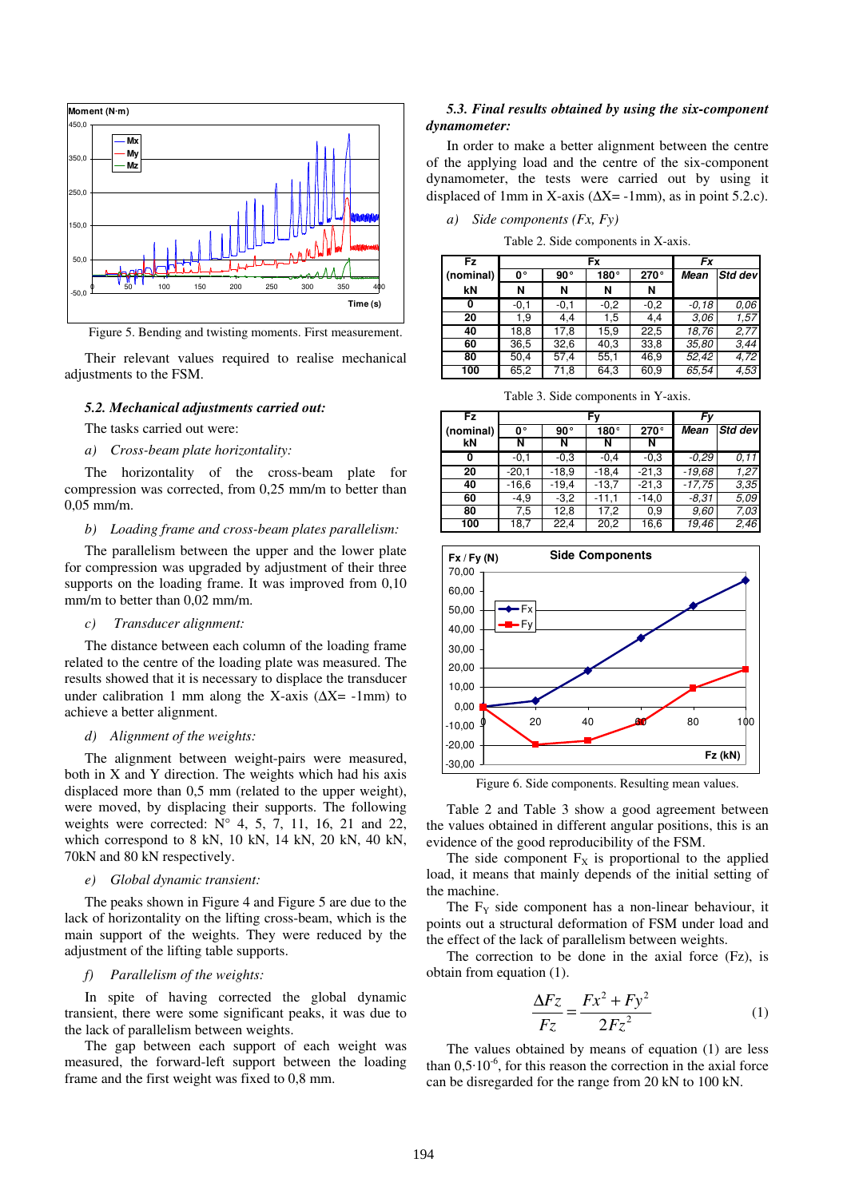

Figure 5. Bending and twisting moments. First measurement.

Their relevant values required to realise mechanical adjustments to the FSM.

# *5.2. Mechanical adjustments carried out:*

The tasks carried out were:

*a) Cross-beam plate horizontality:*

The horizontality of the cross-beam plate for compression was corrected, from 0,25 mm/m to better than 0,05 mm/m.

#### *b) Loading frame and cross-beam plates parallelism:*

The parallelism between the upper and the lower plate for compression was upgraded by adjustment of their three supports on the loading frame. It was improved from 0,10 mm/m to better than 0,02 mm/m.

## *c) Transducer alignment:*

The distance between each column of the loading frame related to the centre of the loading plate was measured. The results showed that it is necessary to displace the transducer under calibration 1 mm along the X-axis ( $\Delta X$ = -1mm) to achieve a better alignment.

### *d) Alignment of the weights:*

The alignment between weight-pairs were measured, both in X and Y direction. The weights which had his axis displaced more than 0,5 mm (related to the upper weight), were moved, by displacing their supports. The following weights were corrected:  $N^{\circ}$  4, 5, 7, 11, 16, 21 and 22, which correspond to 8 kN, 10 kN, 14 kN, 20 kN, 40 kN, 70kN and 80 kN respectively.

# *e) Global dynamic transient:*

The peaks shown in Figure 4 and Figure 5 are due to the lack of horizontality on the lifting cross-beam, which is the main support of the weights. They were reduced by the adjustment of the lifting table supports.

# *f) Parallelism of the weights:*

In spite of having corrected the global dynamic transient, there were some significant peaks, it was due to the lack of parallelism between weights.

The gap between each support of each weight was measured, the forward-left support between the loading frame and the first weight was fixed to 0,8 mm.

# *5.3. Final results obtained by using the six-component dynamometer:*

In order to make a better alignment between the centre of the applying load and the centre of the six-component dynamometer, the tests were carried out by using it displaced of 1mm in X-axis ( $\Delta X$ = -1mm), as in point 5.2.c).

|  |  | a) Side components (Fx, Fy) |  |  |
|--|--|-----------------------------|--|--|
|--|--|-----------------------------|--|--|

Table 2. Side components in X-axis.

| Fz        |        |        | Fx     |        |         |         |
|-----------|--------|--------|--------|--------|---------|---------|
| (nominal) | 0٠     | 90°    | 180°   | 270°   | Mean    | Std dev |
| kN        | N      | N      | N      | N      |         |         |
| 0         | $-0,1$ | $-0,1$ | $-0,2$ | $-0,2$ | $-0.18$ | 0.06    |
| 20        | 1.9    | 4,4    | 1,5    | 4,4    | 3.06    | 1,57    |
| 40        | 18,8   | 17,8   | 15,9   | 22,5   | 18,76   | 2,77    |
| 60        | 36,5   | 32,6   | 40,3   | 33,8   | 35,80   | 3,44    |
| 80        | 50,4   | 57,4   | 55,1   | 46,9   | 52,42   | 4,72    |
| 100       | 65,2   | 71,8   | 64,3   | 60,9   | 65,54   | 4.53    |

Table 3. Side components in Y-axis.

| Fz        |         |              | Fv      |         |          |         |
|-----------|---------|--------------|---------|---------|----------|---------|
| (nominal) | 0°      | $90^{\circ}$ | 180°    | 270°    | Mean     | Std dev |
| kN        | N       | N            | N       | N       |          |         |
| 0         | $-0,1$  | $-0.3$       | $-0,4$  | $-0.3$  | $-0.29$  | 0.11    |
| 20        | $-20,1$ | $-18.9$      | $-18,4$ | $-21.3$ | $-19.68$ | 1,27    |
| 40        | $-16,6$ | $-19.4$      | $-13.7$ | $-21,3$ | $-17,75$ | 3,35    |
| 60        | $-4,9$  | $-3,2$       | $-11.1$ | $-14,0$ | $-8,31$  | 5,09    |
| 80        | 7,5     | 12,8         | 17,2    | 0,9     | 9.60     | 7,03    |
| 100       | 18,7    | 22,4         | 20,2    | 16,6    | 19,46    | 2,46    |



Figure 6. Side components. Resulting mean values.

Table 2 and Table 3 show a good agreement between the values obtained in different angular positions, this is an evidence of the good reproducibility of the FSM.

The side component  $F_X$  is proportional to the applied load, it means that mainly depends of the initial setting of the machine.

The  $F<sub>Y</sub>$  side component has a non-linear behaviour, it points out a structural deformation of FSM under load and the effect of the lack of parallelism between weights.

The correction to be done in the axial force (Fz), is obtain from equation (1).

$$
\frac{\Delta Fz}{Fz} = \frac{Fx^2 + Fy^2}{2Fz^2} \tag{1}
$$

The values obtained by means of equation (1) are less than  $0.5 \cdot 10^{-6}$ , for this reason the correction in the axial force can be disregarded for the range from 20 kN to 100 kN.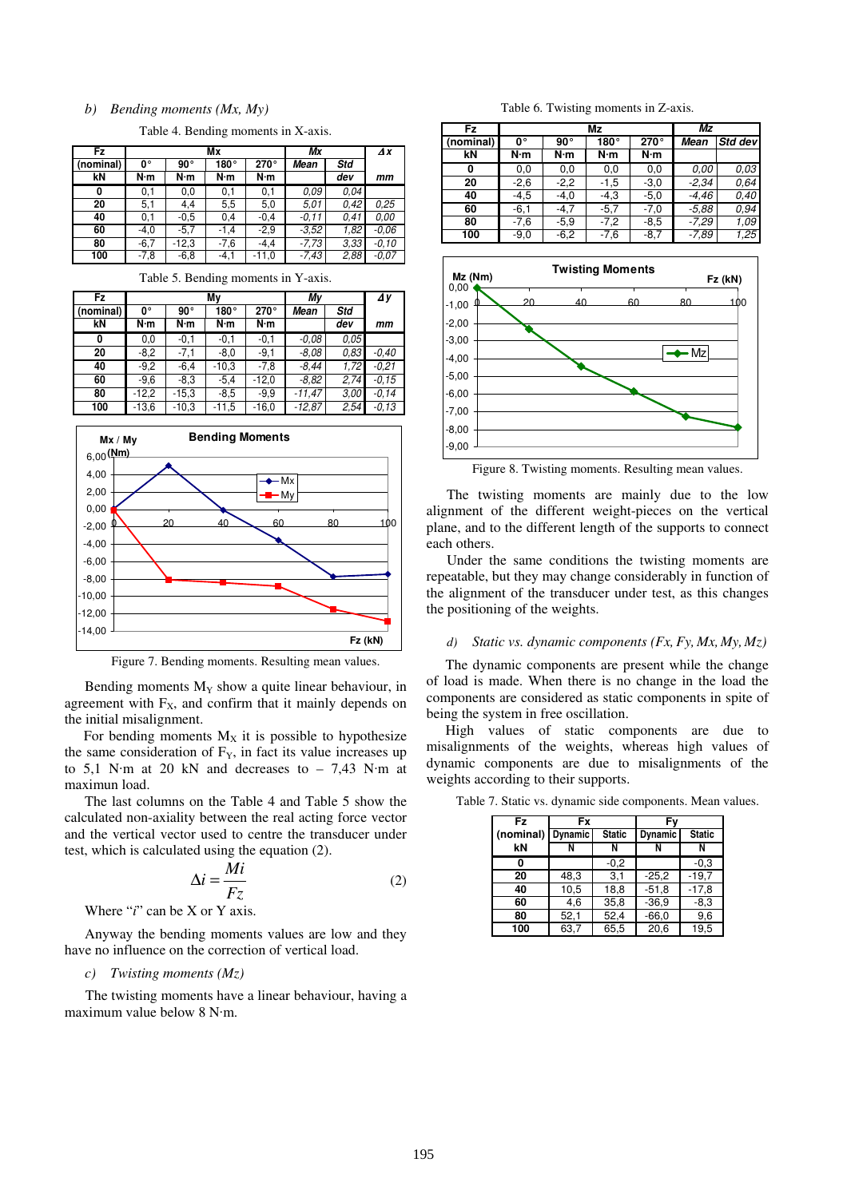#### *b) Bending moments (Mx, My)*

Table 4. Bending moments in X-axis.

| Fz        | Mx     |              |             |         | Мx      |      | $\boldsymbol{\Delta} \boldsymbol{x}$ |
|-----------|--------|--------------|-------------|---------|---------|------|--------------------------------------|
| (nominal) | 0°     | $90^{\circ}$ | $180^\circ$ | 270°    | Mean    | Std  |                                      |
| kN        | N·m    | N·m          | N·m         | N·m     |         | dev  | mm                                   |
| 0         | 0,1    | 0,0          | 0,1         | 0.1     | 0.09    | 0.04 |                                      |
| 20        | 5,1    | 4.4          | 5,5         | 5,0     | 5.01    | 0.42 | 0.25                                 |
| 40        | 0.1    | $-0.5$       | 0,4         | $-0.4$  | $-0.11$ | 0.41 | 0.00                                 |
| 60        | $-4,0$ | $-5.7$       | $-1.4$      | $-2,9$  | $-3.52$ | 1,82 | $-0.06$                              |
| 80        | $-6.7$ | $-12.3$      | $-7,6$      | $-4.4$  | $-7,73$ | 3.33 | $-0.10$                              |
| 100       | $-7,8$ | $-6,8$       | $-4,1$      | $-11,0$ | $-7,43$ | 2,88 | $-0.07$                              |

Table 5. Bending moments in Y-axis.

| Fz        |         |              | Mv      | My      | $\Delta y$ |      |         |  |  |
|-----------|---------|--------------|---------|---------|------------|------|---------|--|--|
| (nominal) | 0٠      | $90^{\circ}$ | 180°    | 270°    | Mean       | Std  |         |  |  |
| kN        | N∙m     | N·m          | N·m     | N·m     |            | dev  | mm      |  |  |
| 0         | 0,0     | $-0,1$       | $-0,1$  | $-0,1$  | $-0.08$    | 0,05 |         |  |  |
| 20        | $-8,2$  | $-7,1$       | $-8.0$  | $-9,1$  | $-8.08$    | 0,83 | $-0.40$ |  |  |
| 40        | $-9,2$  | $-6,4$       | $-10,3$ | $-7,8$  | -8,44      | 1,72 | $-0.21$ |  |  |
| 60        | $-9,6$  | $-8.3$       | $-5.4$  | $-12,0$ | $-8.82$    | 2,74 | $-0.15$ |  |  |
| 80        | $-12.2$ | $-15.3$      | $-8,5$  | $-9,9$  | $-11,47$   | 3,00 | $-0.14$ |  |  |
| 100       | $-13,6$ | $-10,3$      | $-11,5$ | $-16,0$ | $-12,87$   | 2,54 | $-0,13$ |  |  |



Figure 7. Bending moments. Resulting mean values.

Bending moments  $M_Y$  show a quite linear behaviour, in agreement with  $F_X$ , and confirm that it mainly depends on the initial misalignment.

For bending moments  $M_X$  it is possible to hypothesize the same consideration of  $F<sub>Y</sub>$ , in fact its value increases up to 5,1 N·m at 20 kN and decreases to  $-7,43$  N·m at maximun load.

The last columns on the Table 4 and Table 5 show the calculated non-axiality between the real acting force vector and the vertical vector used to centre the transducer under test, which is calculated using the equation (2).

$$
\Delta i = \frac{Mi}{Fz} \tag{2}
$$

Where "*i*" can be X or Y axis.

Anyway the bending moments values are low and they have no influence on the correction of vertical load.

#### *c) Twisting moments (Mz)*

The twisting moments have a linear behaviour, having a maximum value below  $8$  N·m.

Table 6. Twisting moments in Z-axis.

| Fz        |        | Mz           |        |        |         | Μz      |  |
|-----------|--------|--------------|--------|--------|---------|---------|--|
| (nominal) | 0٠     | $90^{\circ}$ | 180°   | 270°   | Mean    | Std dev |  |
| kΝ        | N·m    | N∙m          | N·m    | N·m    |         |         |  |
| 0         | 0,0    | 0,0          | 0,0    | 0,0    | 0.00    | 0,03    |  |
| 20        | $-2,6$ | $-2,2$       | $-1,5$ | $-3,0$ | $-2,34$ | 0.64    |  |
| 40        | $-4,5$ | $-4,0$       | $-4,3$ | $-5,0$ | $-4,46$ | 0.40    |  |
| 60        | $-6,1$ | $-4,7$       | $-5,7$ | $-7,0$ | $-5.88$ | 0.94    |  |
| 80        | $-7,6$ | $-5.9$       | $-7,2$ | $-8,5$ | $-7,29$ | 1,09    |  |
| 100       | $-9,0$ | $-6,2$       | $-7,6$ | $-8,7$ | $-7,89$ | 1,25    |  |



Figure 8. Twisting moments. Resulting mean values.

The twisting moments are mainly due to the low alignment of the different weight-pieces on the vertical plane, and to the different length of the supports to connect each others.

Under the same conditions the twisting moments are repeatable, but they may change considerably in function of the alignment of the transducer under test, as this changes the positioning of the weights.

#### *d) Static vs. dynamic components (Fx,Fy, Mx, My, Mz)*

The dynamic components are present while the change of load is made. When there is no change in the load the components are considered as static components in spite of being the system in free oscillation.

High values of static components are due to misalignments of the weights, whereas high values of dynamic components are due to misalignments of the weights according to their supports.

| Fz        | Fx             |               | Fv             |               |
|-----------|----------------|---------------|----------------|---------------|
| (nominal) | <b>Dynamic</b> | <b>Static</b> | <b>Dynamic</b> | <b>Static</b> |
| kN        | N              | Ν             | N              | N             |
|           |                | $-0,2$        |                | $-0.3$        |
| 20        | 48,3           | 3,1           | $-25.2$        | $-19.7$       |
| 40        | 10,5           | 18,8          | $-51,8$        | $-17,8$       |
| 60        | 4.6            | 35,8          | $-36,9$        | $-8,3$        |
| 80        | 52,1           | 52,4          | $-66,0$        | 9,6           |
| 100       | 63,7           | 65,5          | 20,6           | 19.5          |

Table 7. Static vs. dynamic side components. Mean values.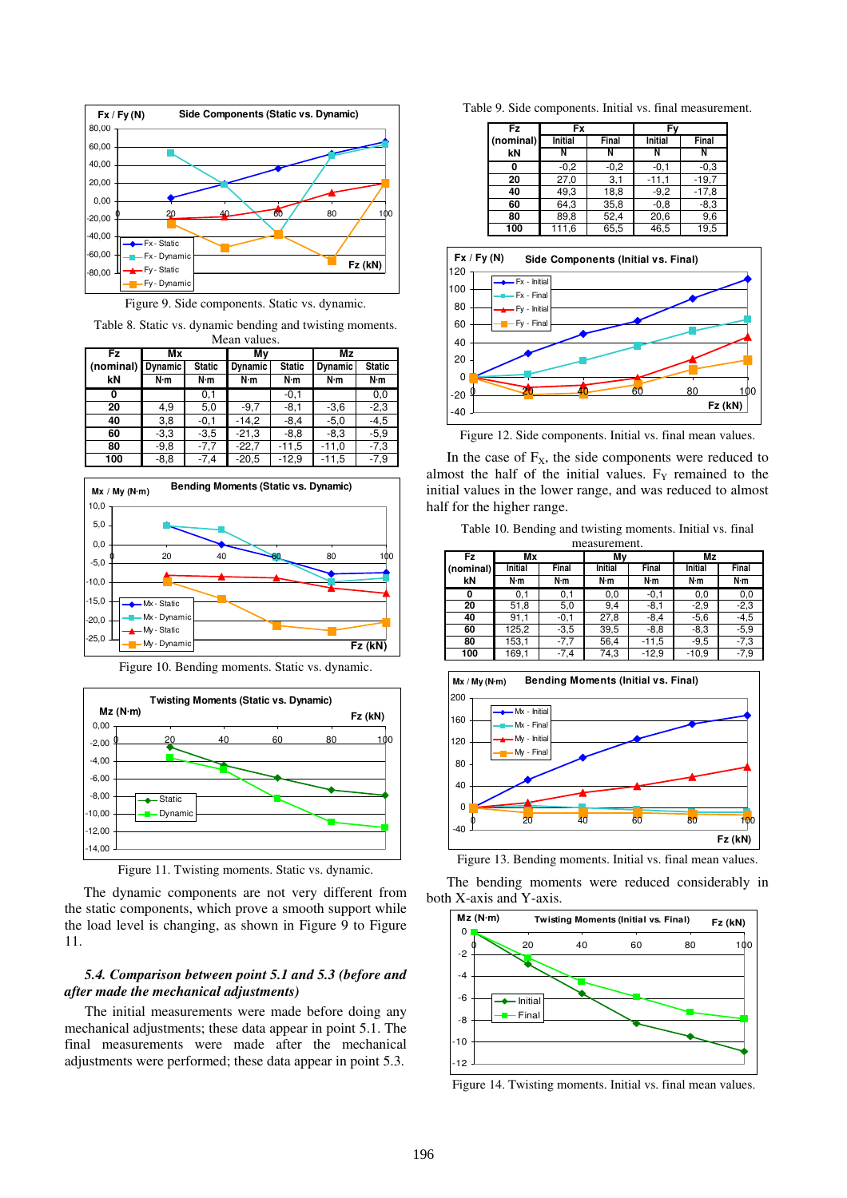

Figure 9. Side components. Static vs. dynamic.

Table 8. Static vs. dynamic bending and twisting moments. Mean values.

| Fz        | Mx             |               | Mν             |               | Mz             |               |
|-----------|----------------|---------------|----------------|---------------|----------------|---------------|
| (nominal) | <b>Dynamic</b> | <b>Static</b> | <b>Dynamic</b> | <b>Static</b> | <b>Dynamic</b> | <b>Static</b> |
| kN        | N·m            | N·m           | N∙m            | N·m           | N·m            | N·m           |
| 0         |                | 0,1           |                | $-0,1$        |                | 0,0           |
| 20        | 4,9            | 5,0           | $-9.7$         | $-8,1$        | $-3,6$         | $-2,3$        |
| 40        | 3,8            | $-0,1$        | $-14,2$        | $-8,4$        | $-5,0$         | $-4,5$        |
| 60        | $-3.3$         | $-3.5$        | $-21,3$        | $-8,8$        | $-8,3$         | $-5,9$        |
| 80        | $-9,8$         | $-7,7$        | $-22.7$        | $-11,5$       | $-11,0$        | $-7,3$        |
| 100       | $-8,8$         | $-7,4$        | $-20,5$        | $-12.9$       | $-11,5$        | $-7,9$        |



Figure 10. Bending moments. Static vs. dynamic.



Figure 11. Twisting moments. Static vs. dynamic.

The dynamic components are not very different from the static components, which prove a smooth support while the load level is changing, as shown in Figure 9 to Figure 11.

# *5.4. Comparison between point 5.1 and 5.3 (before and after made the mechanical adjustments)*

The initial measurements were made before doing any mechanical adjustments; these data appear in point 5.1. The final measurements were made after the mechanical adjustments were performed; these data appear in point 5.3.

Table 9. Side components. Initial vs. final measurement.

| Fz        | Fx             |        | Fν      |         |
|-----------|----------------|--------|---------|---------|
| (nominal) | <b>Initial</b> | Final  | Initial | Final   |
| kN        | N              | Ν      |         |         |
|           | $-0,2$         | $-0,2$ | $-0,1$  | $-0.3$  |
| 20        | 27,0           | 3,1    | $-11,1$ | $-19.7$ |
| 40        | 49,3           | 18,8   | $-9,2$  | $-17,8$ |
| 60        | 64,3           | 35,8   | $-0.8$  | $-8.3$  |
| 80        | 89,8           | 52,4   | 20,6    | 9,6     |
| 100       | 111,6          | 65,5   | 46,5    | 19,5    |



Figure 12. Side components. Initial vs. final mean values.

In the case of  $F_X$ , the side components were reduced to almost the half of the initial values.  $F<sub>Y</sub>$  remained to the initial values in the lower range, and was reduced to almost half for the higher range.

Table 10. Bending and twisting moments. Initial vs. final measurement.

| Fz        | Mx      |        | Mν             |         |                | Mz     |  |
|-----------|---------|--------|----------------|---------|----------------|--------|--|
| (nominal) | Initial | Final  | <b>Initial</b> | Final   | <b>Initial</b> | Final  |  |
| kN        | N∙m     | N∙m    | N·m            | N·m     | N·m            | N∙m    |  |
| 0         | 0,1     | 0,1    | 0,0            | $-0,1$  | 0,0            | 0,0    |  |
| 20        | 51,8    | 5,0    | 9,4            | $-8,1$  | $-2,9$         | $-2,3$ |  |
| 40        | 91,1    | $-0,1$ | 27,8           | $-8,4$  | $-5,6$         | $-4,5$ |  |
| 60        | 125,2   | $-3,5$ | 39,5           | $-8,8$  | $-8,3$         | $-5,9$ |  |
| 80        | 153,1   | $-7,7$ | 56,4           | $-11,5$ | $-9,5$         | $-7,3$ |  |
| 100       | 169.1   | $-7,4$ | 74,3           | $-12.9$ | $-10.9$        | -7.9   |  |



Figure 13. Bending moments. Initial vs. final mean values.

The bending moments were reduced considerably in both X-axis and Y-axis.



Figure 14. Twisting moments. Initial vs. final mean values.